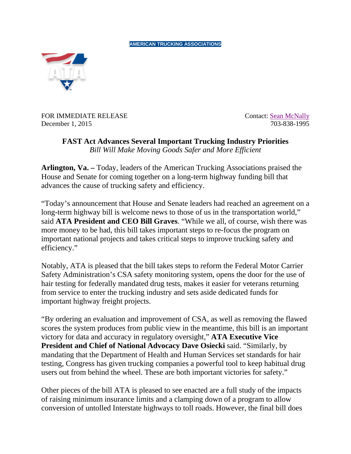**AMERICAN TRUCKING ASSOCIATIONS**



FOR IMMEDIATE RELEASE Contact: [Sean McNally](mailto:smcnally@trucking.org)<br>December 1. 2015 703-838-1995 December 1, 2015

**FAST Act Advances Several Important Trucking Industry Priorities** *Bill Will Make Moving Goods Safer and More Efficient*

**Arlington, Va. –** Today, leaders of the American Trucking Associations praised the House and Senate for coming together on a long-term highway funding bill that advances the cause of trucking safety and efficiency.

"Today's announcement that House and Senate leaders had reached an agreement on a long-term highway bill is welcome news to those of us in the transportation world," said **ATA President and CEO Bill Graves**. "While we all, of course, wish there was more money to be had, this bill takes important steps to re-focus the program on important national projects and takes critical steps to improve trucking safety and efficiency."

Notably, ATA is pleased that the bill takes steps to reform the Federal Motor Carrier Safety Administration's CSA safety monitoring system, opens the door for the use of hair testing for federally mandated drug tests, makes it easier for veterans returning from service to enter the trucking industry and sets aside dedicated funds for important highway freight projects.

"By ordering an evaluation and improvement of CSA, as well as removing the flawed scores the system produces from public view in the meantime, this bill is an important victory for data and accuracy in regulatory oversight," **ATA Executive Vice President and Chief of National Advocacy Dave Osiecki** said. "Similarly, by mandating that the Department of Health and Human Services set standards for hair testing, Congress has given trucking companies a powerful tool to keep habitual drug users out from behind the wheel. These are both important victories for safety."

Other pieces of the bill ATA is pleased to see enacted are a full study of the impacts of raising minimum insurance limits and a clamping down of a program to allow conversion of untolled Interstate highways to toll roads. However, the final bill does